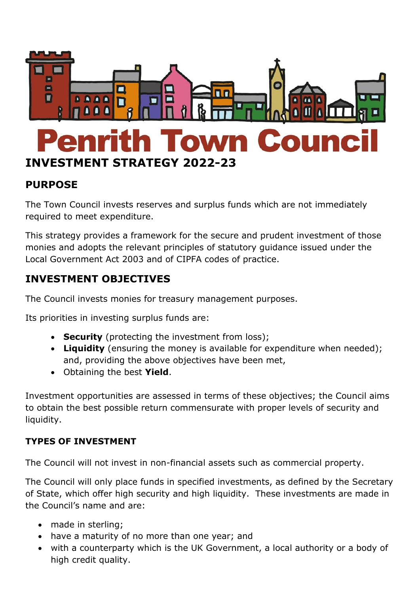

# **PURPOSE**

The Town Council invests reserves and surplus funds which are not immediately required to meet expenditure.

This strategy provides a framework for the secure and prudent investment of those monies and adopts the relevant principles of statutory guidance issued under the Local Government Act 2003 and of CIPFA codes of practice.

# **INVESTMENT OBJECTIVES**

The Council invests monies for treasury management purposes.

Its priorities in investing surplus funds are:

- **Security** (protecting the investment from loss);
- **Liquidity** (ensuring the money is available for expenditure when needed); and, providing the above objectives have been met,
- Obtaining the best **Yield**.

Investment opportunities are assessed in terms of these objectives; the Council aims to obtain the best possible return commensurate with proper levels of security and liquidity.

## **TYPES OF INVESTMENT**

The Council will not invest in non-financial assets such as commercial property.

The Council will only place funds in specified investments, as defined by the Secretary of State, which offer high security and high liquidity. These investments are made in the Council's name and are:

- made in sterling:
- have a maturity of no more than one year; and
- with a counterparty which is the UK Government, a local authority or a body of high credit quality.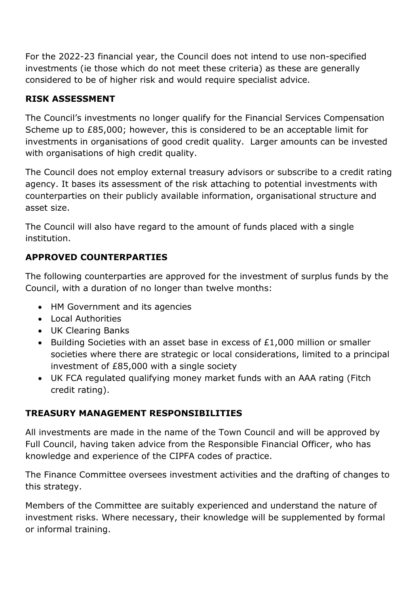For the 2022-23 financial year, the Council does not intend to use non-specified investments (ie those which do not meet these criteria) as these are generally considered to be of higher risk and would require specialist advice.

# **RISK ASSESSMENT**

The Council's investments no longer qualify for the Financial Services Compensation Scheme up to £85,000; however, this is considered to be an acceptable limit for investments in organisations of good credit quality. Larger amounts can be invested with organisations of high credit quality.

The Council does not employ external treasury advisors or subscribe to a credit rating agency. It bases its assessment of the risk attaching to potential investments with counterparties on their publicly available information, organisational structure and asset size.

The Council will also have regard to the amount of funds placed with a single institution.

# **APPROVED COUNTERPARTIES**

The following counterparties are approved for the investment of surplus funds by the Council, with a duration of no longer than twelve months:

- HM Government and its agencies
- Local Authorities
- UK Clearing Banks
- Building Societies with an asset base in excess of £1,000 million or smaller societies where there are strategic or local considerations, limited to a principal investment of £85,000 with a single society
- UK FCA regulated qualifying money market funds with an AAA rating (Fitch credit rating).

## **TREASURY MANAGEMENT RESPONSIBILITIES**

All investments are made in the name of the Town Council and will be approved by Full Council, having taken advice from the Responsible Financial Officer, who has knowledge and experience of the CIPFA codes of practice.

The Finance Committee oversees investment activities and the drafting of changes to this strategy.

Members of the Committee are suitably experienced and understand the nature of investment risks. Where necessary, their knowledge will be supplemented by formal or informal training.